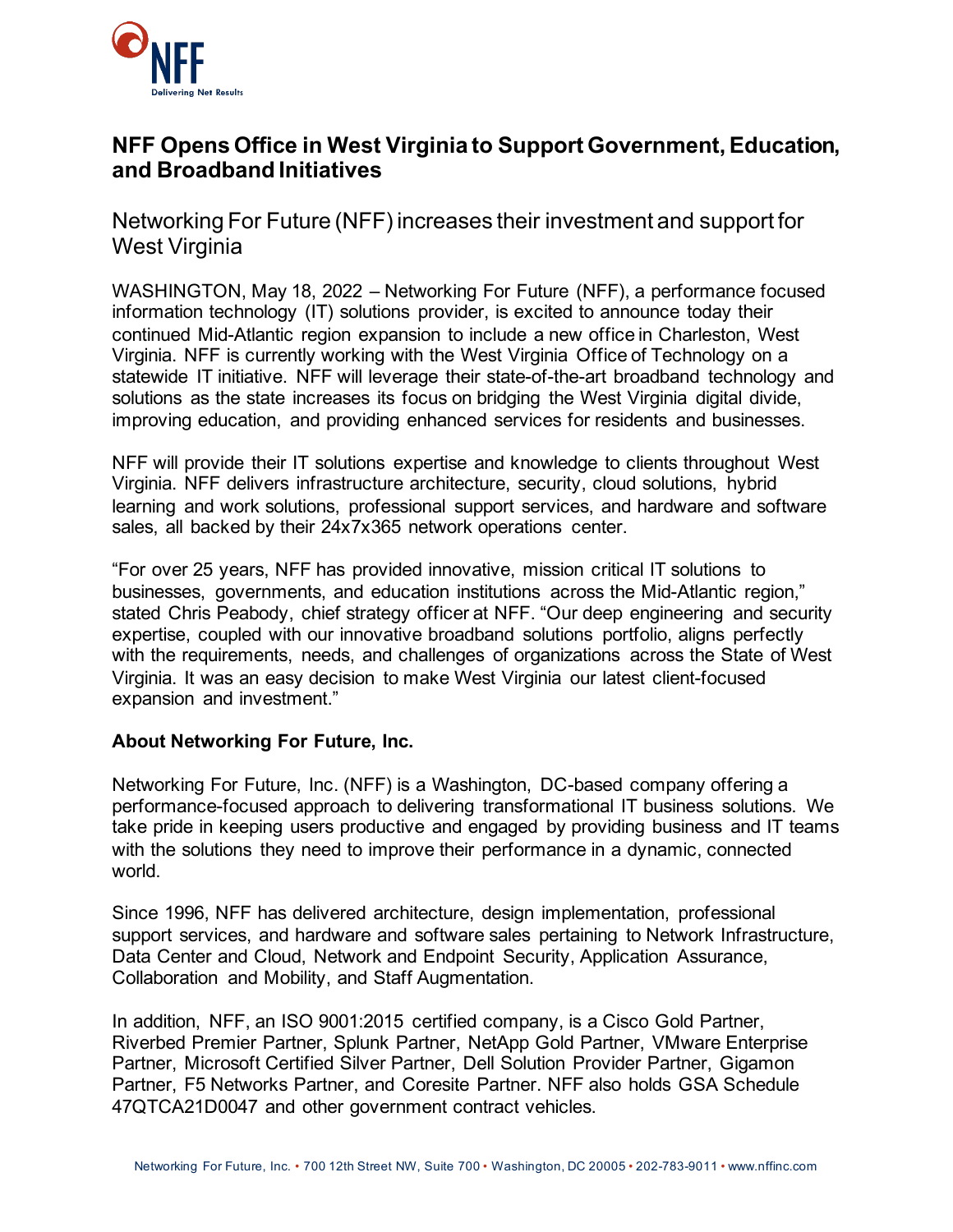

## **NFF Opens Office in West Virginia to Support Government, Education, and Broadband Initiatives**

Networking For Future (NFF) increases their investment and support for West Virginia

WASHINGTON, May 18, 2022 – Networking For Future (NFF), a performance focused information technology (IT) solutions provider, is excited to announce today their continued Mid-Atlantic region expansion to include a new office in Charleston, West Virginia. NFF is currently working with the West Virginia Office of Technology on a statewide IT initiative. NFF will leverage their state-of-the-art broadband technology and solutions as the state increases its focus on bridging the West Virginia digital divide, improving education, and providing enhanced services for residents and businesses.

NFF will provide their IT solutions expertise and knowledge to clients throughout West Virginia. NFF delivers infrastructure architecture, security, cloud solutions, hybrid learning and work solutions, professional support services, and hardware and software sales, all backed by their 24x7x365 network operations center.

"For over 25 years, NFF has provided innovative, mission critical IT solutions to businesses, governments, and education institutions across the Mid-Atlantic region," stated Chris Peabody, chief strategy officer at NFF. "Our deep engineering and security expertise, coupled with our innovative broadband solutions portfolio, aligns perfectly with the requirements, needs, and challenges of organizations across the State of West Virginia. It was an easy decision to make West Virginia our latest client-focused expansion and investment."

## **About Networking For Future, Inc.**

Networking For Future, Inc. (NFF) is a Washington, DC-based company offering a performance-focused approach to delivering transformational IT business solutions. We take pride in keeping users productive and engaged by providing business and IT teams with the solutions they need to improve their performance in a dynamic, connected world.

Since 1996, NFF has delivered architecture, design implementation, professional support services, and hardware and software sales pertaining to Network Infrastructure, Data Center and Cloud, Network and Endpoint Security, Application Assurance, Collaboration and Mobility, and Staff Augmentation.

In addition, NFF, an ISO 9001:2015 certified company, is a Cisco Gold Partner, Riverbed Premier Partner, Splunk Partner, NetApp Gold Partner, VMware Enterprise Partner, Microsoft Certified Silver Partner, Dell Solution Provider Partner, Gigamon Partner, F5 Networks Partner, and Coresite Partner. NFF also holds GSA Schedule 47QTCA21D0047 and other government contract vehicles.